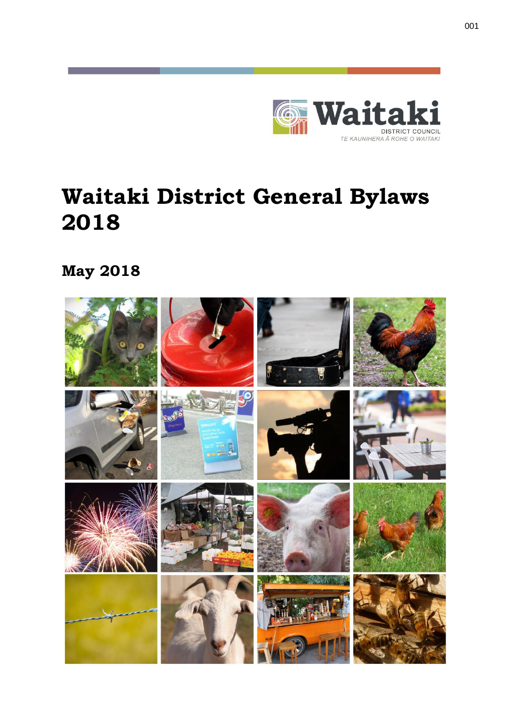

# **Waitaki District General Bylaws 2018**

**May 2018**

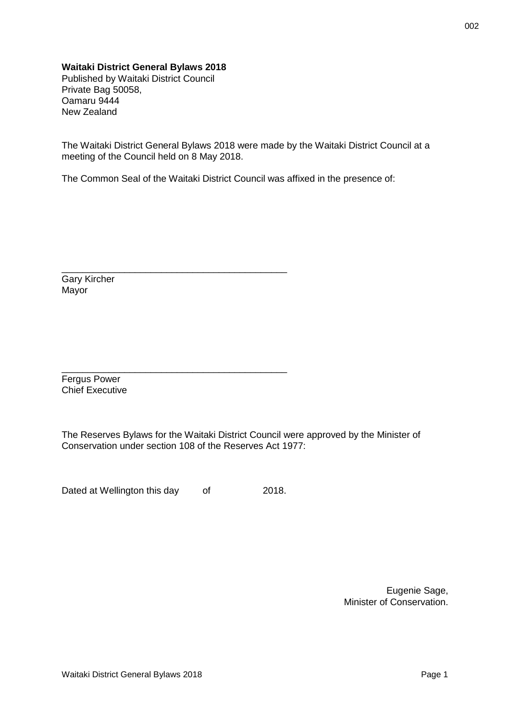#### **Waitaki District General Bylaws 2018**

Published by Waitaki District Council Private Bag 50058, Oamaru 9444 New Zealand

The Waitaki District General Bylaws 2018 were made by the Waitaki District Council at a meeting of the Council held on 8 May 2018.

The Common Seal of the Waitaki District Council was affixed in the presence of:

Gary Kircher Mayor

Fergus Power Chief Executive

The Reserves Bylaws for the Waitaki District Council were approved by the Minister of Conservation under section 108 of the Reserves Act 1977:

Dated at Wellington this day of 2018.

\_\_\_\_\_\_\_\_\_\_\_\_\_\_\_\_\_\_\_\_\_\_\_\_\_\_\_\_\_\_\_\_\_\_\_\_\_\_\_\_\_\_\_

\_\_\_\_\_\_\_\_\_\_\_\_\_\_\_\_\_\_\_\_\_\_\_\_\_\_\_\_\_\_\_\_\_\_\_\_\_\_\_\_\_\_\_

Eugenie Sage, Minister of Conservation.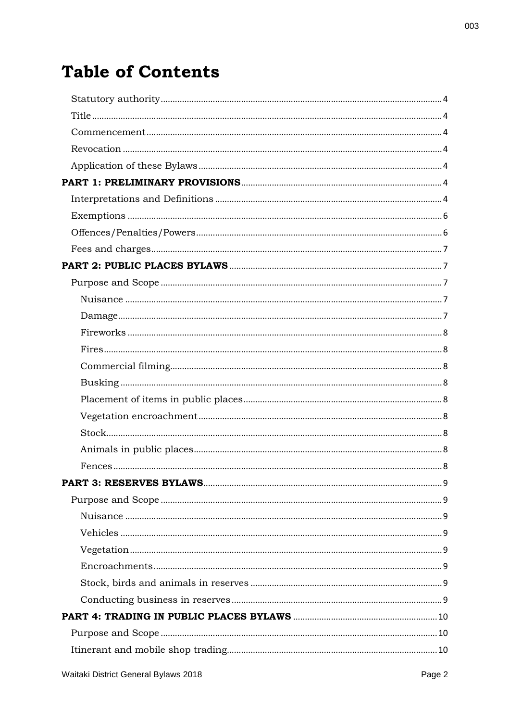# **Table of Contents**

003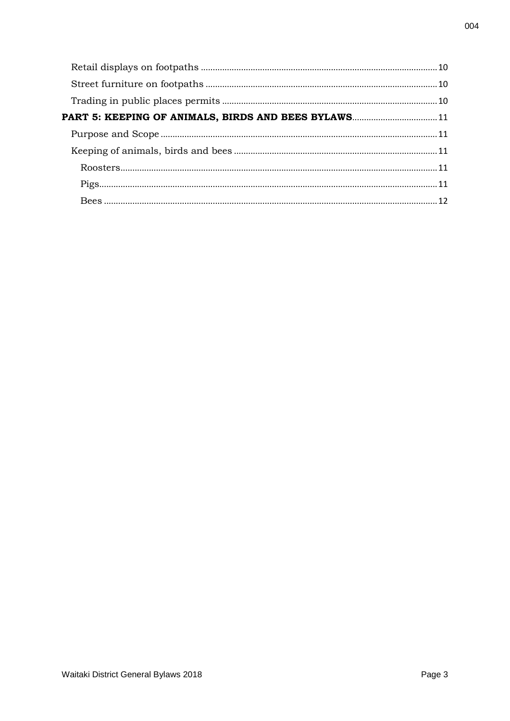| PART 5: KEEPING OF ANIMALS, BIRDS AND BEES BYLAWS 11 |  |
|------------------------------------------------------|--|
|                                                      |  |
|                                                      |  |
|                                                      |  |
|                                                      |  |
|                                                      |  |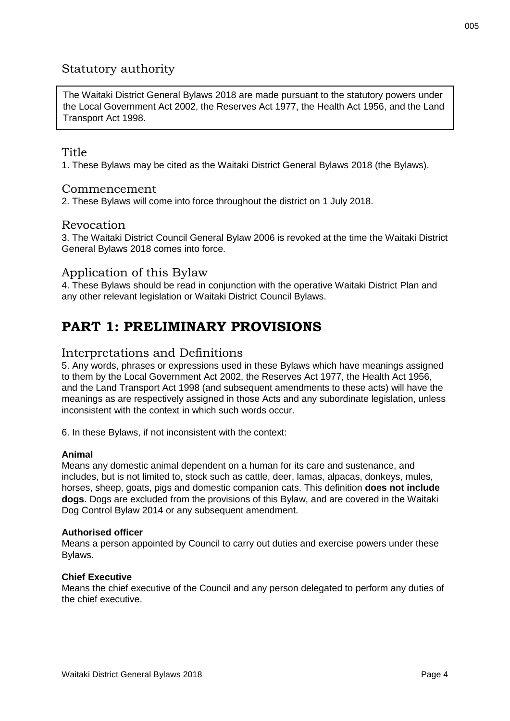## <span id="page-4-0"></span>Statutory authority

The Waitaki District General Bylaws 2018 are made pursuant to the statutory powers under the Local Government Act 2002, the Reserves Act 1977, the Health Act 1956, and the Land Transport Act 1998.

#### <span id="page-4-1"></span>Title

1. These Bylaws may be cited as the Waitaki District General Bylaws 2018 (the Bylaws).

#### <span id="page-4-2"></span>Commencement

2. These Bylaws will come into force throughout the district on 1 July 2018.

#### <span id="page-4-3"></span>Revocation

3. The Waitaki District Council General Bylaw 2006 is revoked at the time the Waitaki District General Bylaws 2018 comes into force.

#### <span id="page-4-4"></span>Application of this Bylaw

4. These Bylaws should be read in conjunction with the operative Waitaki District Plan and any other relevant legislation or Waitaki District Council Bylaws.

# <span id="page-4-5"></span>**PART 1: PRELIMINARY PROVISIONS**

#### <span id="page-4-6"></span>Interpretations and Definitions

5. Any words, phrases or expressions used in these Bylaws which have meanings assigned to them by the Local Government Act 2002, the Reserves Act 1977, the Health Act 1956, and the Land Transport Act 1998 (and subsequent amendments to these acts) will have the meanings as are respectively assigned in those Acts and any subordinate legislation, unless inconsistent with the context in which such words occur.

6. In these Bylaws, if not inconsistent with the context:

#### **Animal**

Means any domestic animal dependent on a human for its care and sustenance, and includes, but is not limited to, stock such as cattle, deer, lamas, alpacas, donkeys, mules, horses, sheep, goats, pigs and domestic companion cats. This definition **does not include dogs**. Dogs are excluded from the provisions of this Bylaw, and are covered in the Waitaki Dog Control Bylaw 2014 or any subsequent amendment.

#### **Authorised officer**

Means a person appointed by Council to carry out duties and exercise powers under these Bylaws.

#### **Chief Executive**

Means the chief executive of the Council and any person delegated to perform any duties of the chief executive.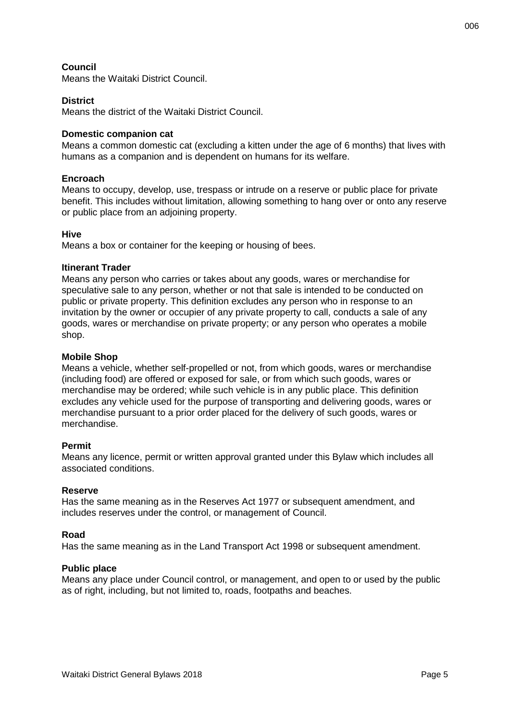#### **Council**

Means the Waitaki District Council.

#### **District**

Means the district of the Waitaki District Council.

#### **Domestic companion cat**

Means a common domestic cat (excluding a kitten under the age of 6 months) that lives with humans as a companion and is dependent on humans for its welfare.

#### **Encroach**

Means to occupy, develop, use, trespass or intrude on a reserve or public place for private benefit. This includes without limitation, allowing something to hang over or onto any reserve or public place from an adjoining property.

#### **Hive**

Means a box or container for the keeping or housing of bees.

#### **Itinerant Trader**

Means any person who carries or takes about any goods, wares or merchandise for speculative sale to any person, whether or not that sale is intended to be conducted on public or private property. This definition excludes any person who in response to an invitation by the owner or occupier of any private property to call, conducts a sale of any goods, wares or merchandise on private property; or any person who operates a mobile shop.

#### **Mobile Shop**

Means a vehicle, whether self-propelled or not, from which goods, wares or merchandise (including food) are offered or exposed for sale, or from which such goods, wares or merchandise may be ordered; while such vehicle is in any public place. This definition excludes any vehicle used for the purpose of transporting and delivering goods, wares or merchandise pursuant to a prior order placed for the delivery of such goods, wares or merchandise.

#### **Permit**

Means any licence, permit or written approval granted under this Bylaw which includes all associated conditions.

#### **Reserve**

Has the same meaning as in the Reserves Act 1977 or subsequent amendment, and includes reserves under the control, or management of Council.

#### **Road**

Has the same meaning as in the Land Transport Act 1998 or subsequent amendment.

#### **Public place**

Means any place under Council control, or management, and open to or used by the public as of right, including, but not limited to, roads, footpaths and beaches.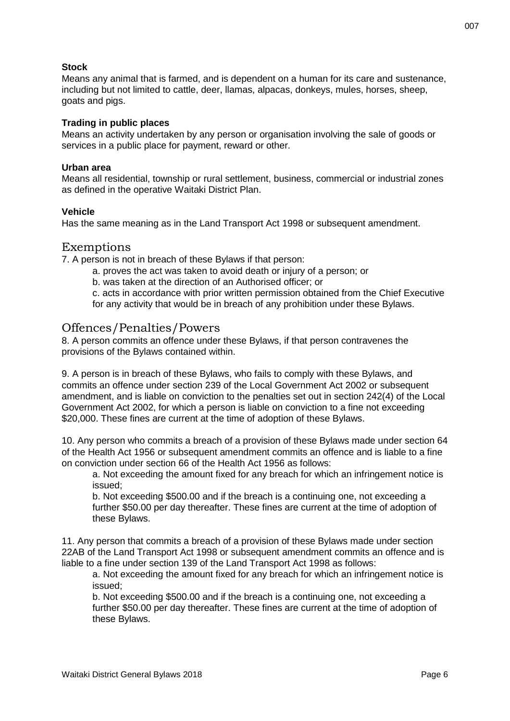#### **Stock**

Means any animal that is farmed, and is dependent on a human for its care and sustenance, including but not limited to cattle, deer, llamas, alpacas, donkeys, mules, horses, sheep, goats and pigs.

#### **Trading in public places**

Means an activity undertaken by any person or organisation involving the sale of goods or services in a public place for payment, reward or other.

#### **Urban area**

Means all residential, township or rural settlement, business, commercial or industrial zones as defined in the operative Waitaki District Plan.

#### **Vehicle**

Has the same meaning as in the Land Transport Act 1998 or subsequent amendment.

#### <span id="page-6-0"></span>Exemptions

7. A person is not in breach of these Bylaws if that person:

- a. proves the act was taken to avoid death or injury of a person; or
- b. was taken at the direction of an Authorised officer; or
- c. acts in accordance with prior written permission obtained from the Chief Executive for any activity that would be in breach of any prohibition under these Bylaws.

#### <span id="page-6-1"></span>Offences/Penalties/Powers

8. A person commits an offence under these Bylaws, if that person contravenes the provisions of the Bylaws contained within.

9. A person is in breach of these Bylaws, who fails to comply with these Bylaws, and commits an offence under section 239 of the Local Government Act 2002 or subsequent amendment, and is liable on conviction to the penalties set out in section 242(4) of the Local Government Act 2002, for which a person is liable on conviction to a fine not exceeding \$20,000. These fines are current at the time of adoption of these Bylaws.

10. Any person who commits a breach of a provision of these Bylaws made under section 64 of the Health Act 1956 or subsequent amendment commits an offence and is liable to a fine on conviction under section 66 of the Health Act 1956 as follows:

a. Not exceeding the amount fixed for any breach for which an infringement notice is issued;

b. Not exceeding \$500.00 and if the breach is a continuing one, not exceeding a further \$50.00 per day thereafter. These fines are current at the time of adoption of these Bylaws.

11. Any person that commits a breach of a provision of these Bylaws made under section 22AB of the Land Transport Act 1998 or subsequent amendment commits an offence and is liable to a fine under section 139 of the Land Transport Act 1998 as follows:

a. Not exceeding the amount fixed for any breach for which an infringement notice is issued;

b. Not exceeding \$500.00 and if the breach is a continuing one, not exceeding a further \$50.00 per day thereafter. These fines are current at the time of adoption of these Bylaws.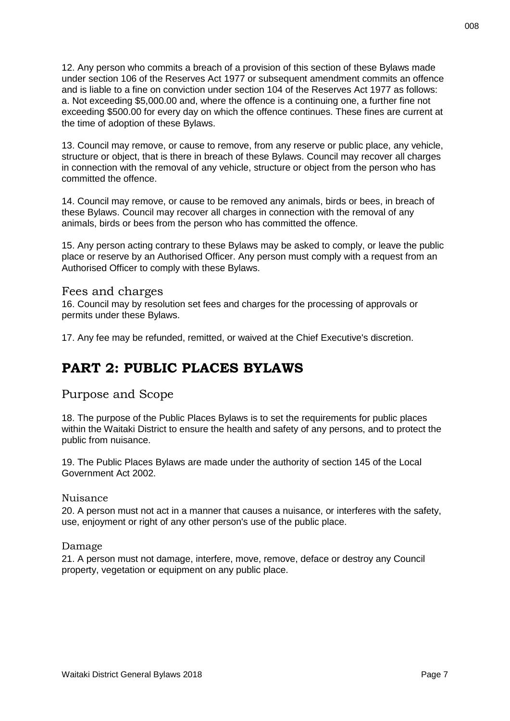12. Any person who commits a breach of a provision of this section of these Bylaws made under section 106 of the Reserves Act 1977 or subsequent amendment commits an offence and is liable to a fine on conviction under section 104 of the Reserves Act 1977 as follows: a. Not exceeding \$5,000.00 and, where the offence is a continuing one, a further fine not exceeding \$500.00 for every day on which the offence continues. These fines are current at the time of adoption of these Bylaws.

13. Council may remove, or cause to remove, from any reserve or public place, any vehicle, structure or object, that is there in breach of these Bylaws. Council may recover all charges in connection with the removal of any vehicle, structure or object from the person who has committed the offence.

14. Council may remove, or cause to be removed any animals, birds or bees, in breach of these Bylaws. Council may recover all charges in connection with the removal of any animals, birds or bees from the person who has committed the offence.

15. Any person acting contrary to these Bylaws may be asked to comply, or leave the public place or reserve by an Authorised Officer. Any person must comply with a request from an Authorised Officer to comply with these Bylaws.

#### <span id="page-7-0"></span>Fees and charges

16. Council may by resolution set fees and charges for the processing of approvals or permits under these Bylaws.

17. Any fee may be refunded, remitted, or waived at the Chief Executive's discretion.

## <span id="page-7-1"></span>**PART 2: PUBLIC PLACES BYLAWS**

<span id="page-7-2"></span>Purpose and Scope

18. The purpose of the Public Places Bylaws is to set the requirements for public places within the Waitaki District to ensure the health and safety of any persons, and to protect the public from nuisance.

19. The Public Places Bylaws are made under the authority of section 145 of the Local Government Act 2002.

#### <span id="page-7-3"></span>Nuisance

20. A person must not act in a manner that causes a nuisance, or interferes with the safety, use, enjoyment or right of any other person's use of the public place.

<span id="page-7-4"></span>Damage

21. A person must not damage, interfere, move, remove, deface or destroy any Council property, vegetation or equipment on any public place.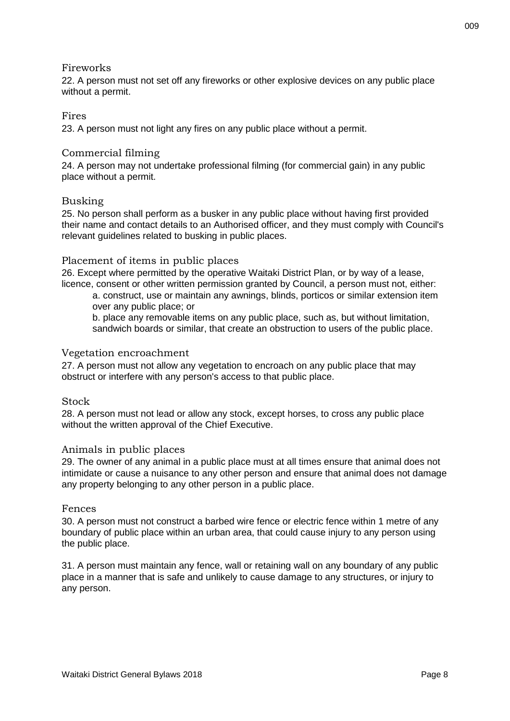#### <span id="page-8-0"></span>Fireworks

22. A person must not set off any fireworks or other explosive devices on any public place without a permit.

#### <span id="page-8-1"></span>Fires

23. A person must not light any fires on any public place without a permit.

#### <span id="page-8-2"></span>Commercial filming

24. A person may not undertake professional filming (for commercial gain) in any public place without a permit.

#### <span id="page-8-3"></span>Busking

25. No person shall perform as a busker in any public place without having first provided their name and contact details to an Authorised officer, and they must comply with Council's relevant guidelines related to busking in public places.

#### <span id="page-8-4"></span>Placement of items in public places

26. Except where permitted by the operative Waitaki District Plan, or by way of a lease, licence, consent or other written permission granted by Council, a person must not, either:

a. construct, use or maintain any awnings, blinds, porticos or similar extension item over any public place; or

b. place any removable items on any public place, such as, but without limitation, sandwich boards or similar, that create an obstruction to users of the public place.

#### <span id="page-8-5"></span>Vegetation encroachment

27. A person must not allow any vegetation to encroach on any public place that may obstruct or interfere with any person's access to that public place.

#### <span id="page-8-6"></span>**Stock**

28. A person must not lead or allow any stock, except horses, to cross any public place without the written approval of the Chief Executive.

#### <span id="page-8-7"></span>Animals in public places

29. The owner of any animal in a public place must at all times ensure that animal does not intimidate or cause a nuisance to any other person and ensure that animal does not damage any property belonging to any other person in a public place.

#### <span id="page-8-8"></span>Fences

30. A person must not construct a barbed wire fence or electric fence within 1 metre of any boundary of public place within an urban area, that could cause injury to any person using the public place.

31. A person must maintain any fence, wall or retaining wall on any boundary of any public place in a manner that is safe and unlikely to cause damage to any structures, or injury to any person.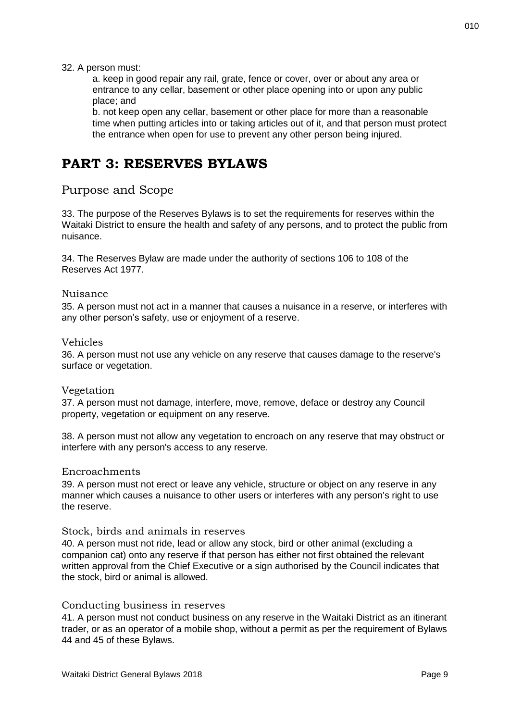#### 32. A person must:

a. keep in good repair any rail, grate, fence or cover, over or about any area or entrance to any cellar, basement or other place opening into or upon any public place; and

b. not keep open any cellar, basement or other place for more than a reasonable time when putting articles into or taking articles out of it, and that person must protect the entrance when open for use to prevent any other person being injured.

## <span id="page-9-0"></span>**PART 3: RESERVES BYLAWS**

### <span id="page-9-1"></span>Purpose and Scope

33. The purpose of the Reserves Bylaws is to set the requirements for reserves within the Waitaki District to ensure the health and safety of any persons, and to protect the public from nuisance.

34. The Reserves Bylaw are made under the authority of sections 106 to 108 of the Reserves Act 1977.

#### <span id="page-9-2"></span>Nuisance

35. A person must not act in a manner that causes a nuisance in a reserve, or interferes with any other person's safety, use or enjoyment of a reserve.

#### <span id="page-9-3"></span>Vehicles

36. A person must not use any vehicle on any reserve that causes damage to the reserve's surface or vegetation.

#### <span id="page-9-4"></span>Vegetation

37. A person must not damage, interfere, move, remove, deface or destroy any Council property, vegetation or equipment on any reserve.

38. A person must not allow any vegetation to encroach on any reserve that may obstruct or interfere with any person's access to any reserve.

#### <span id="page-9-5"></span>Encroachments

39. A person must not erect or leave any vehicle, structure or object on any reserve in any manner which causes a nuisance to other users or interferes with any person's right to use the reserve.

#### <span id="page-9-6"></span>Stock, birds and animals in reserves

40. A person must not ride, lead or allow any stock, bird or other animal (excluding a companion cat) onto any reserve if that person has either not first obtained the relevant written approval from the Chief Executive or a sign authorised by the Council indicates that the stock, bird or animal is allowed.

#### <span id="page-9-7"></span>Conducting business in reserves

41. A person must not conduct business on any reserve in the Waitaki District as an itinerant trader, or as an operator of a mobile shop, without a permit as per the requirement of Bylaws 44 and 45 of these Bylaws.

010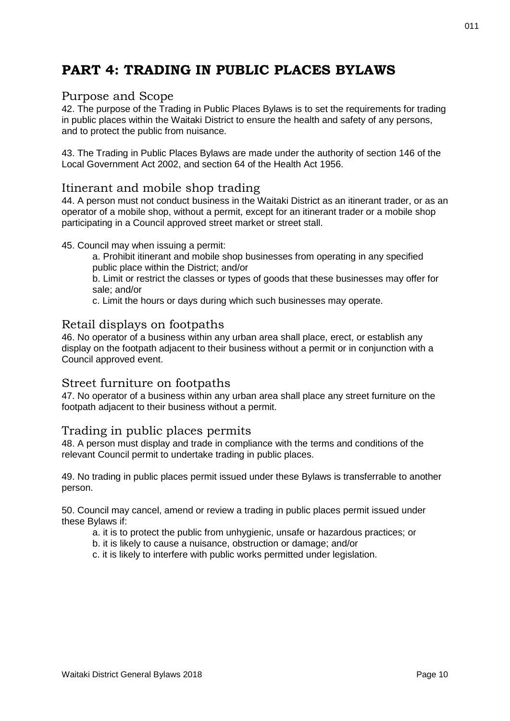# <span id="page-10-0"></span>**PART 4: TRADING IN PUBLIC PLACES BYLAWS**

#### <span id="page-10-1"></span>Purpose and Scope

42. The purpose of the Trading in Public Places Bylaws is to set the requirements for trading in public places within the Waitaki District to ensure the health and safety of any persons, and to protect the public from nuisance.

43. The Trading in Public Places Bylaws are made under the authority of section 146 of the Local Government Act 2002, and section 64 of the Health Act 1956.

### <span id="page-10-2"></span>Itinerant and mobile shop trading

44. A person must not conduct business in the Waitaki District as an itinerant trader, or as an operator of a mobile shop, without a permit, except for an itinerant trader or a mobile shop participating in a Council approved street market or street stall.

#### 45. Council may when issuing a permit:

a. Prohibit itinerant and mobile shop businesses from operating in any specified public place within the District; and/or

b. Limit or restrict the classes or types of goods that these businesses may offer for sale; and/or

c. Limit the hours or days during which such businesses may operate.

#### <span id="page-10-3"></span>Retail displays on footpaths

46. No operator of a business within any urban area shall place, erect, or establish any display on the footpath adjacent to their business without a permit or in conjunction with a Council approved event.

#### <span id="page-10-4"></span>Street furniture on footpaths

47. No operator of a business within any urban area shall place any street furniture on the footpath adjacent to their business without a permit.

#### <span id="page-10-5"></span>Trading in public places permits

48. A person must display and trade in compliance with the terms and conditions of the relevant Council permit to undertake trading in public places.

49. No trading in public places permit issued under these Bylaws is transferrable to another person.

50. Council may cancel, amend or review a trading in public places permit issued under these Bylaws if:

- a. it is to protect the public from unhygienic, unsafe or hazardous practices; or
- b. it is likely to cause a nuisance, obstruction or damage; and/or

c. it is likely to interfere with public works permitted under legislation.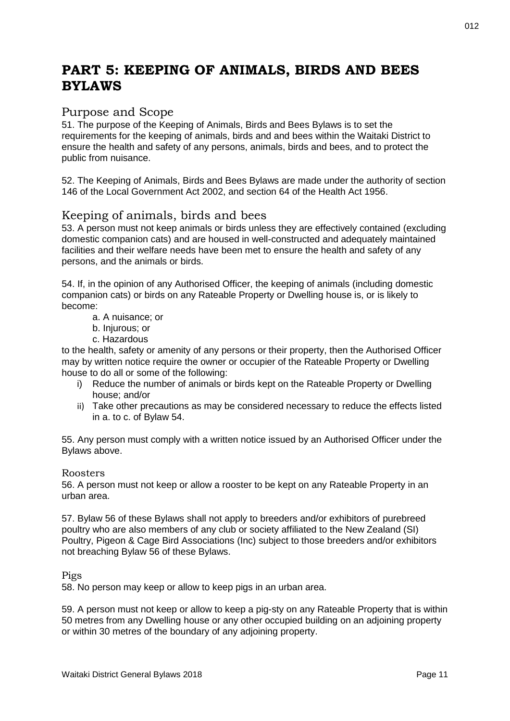# <span id="page-11-0"></span>**PART 5: KEEPING OF ANIMALS, BIRDS AND BEES BYLAWS**

## <span id="page-11-1"></span>Purpose and Scope

51. The purpose of the Keeping of Animals, Birds and Bees Bylaws is to set the requirements for the keeping of animals, birds and and bees within the Waitaki District to ensure the health and safety of any persons, animals, birds and bees, and to protect the public from nuisance.

52. The Keeping of Animals, Birds and Bees Bylaws are made under the authority of section 146 of the Local Government Act 2002, and section 64 of the Health Act 1956.

## <span id="page-11-2"></span>Keeping of animals, birds and bees

53. A person must not keep animals or birds unless they are effectively contained (excluding domestic companion cats) and are housed in well-constructed and adequately maintained facilities and their welfare needs have been met to ensure the health and safety of any persons, and the animals or birds.

54. If, in the opinion of any Authorised Officer, the keeping of animals (including domestic companion cats) or birds on any Rateable Property or Dwelling house is, or is likely to become:

- a. A nuisance; or
- b. Injurous; or
- c. Hazardous

to the health, safety or amenity of any persons or their property, then the Authorised Officer may by written notice require the owner or occupier of the Rateable Property or Dwelling house to do all or some of the following:

- i) Reduce the number of animals or birds kept on the Rateable Property or Dwelling house; and/or
- ii) Take other precautions as may be considered necessary to reduce the effects listed in a. to c. of Bylaw 54.

55. Any person must comply with a written notice issued by an Authorised Officer under the Bylaws above.

#### <span id="page-11-3"></span>Roosters

56. A person must not keep or allow a rooster to be kept on any Rateable Property in an urban area.

57. Bylaw 56 of these Bylaws shall not apply to breeders and/or exhibitors of purebreed poultry who are also members of any club or society affiliated to the New Zealand (SI) Poultry, Pigeon & Cage Bird Associations (Inc) subject to those breeders and/or exhibitors not breaching Bylaw 56 of these Bylaws.

#### <span id="page-11-4"></span>Pigs

58. No person may keep or allow to keep pigs in an urban area.

59. A person must not keep or allow to keep a pig-sty on any Rateable Property that is within 50 metres from any Dwelling house or any other occupied building on an adjoining property or within 30 metres of the boundary of any adjoining property.